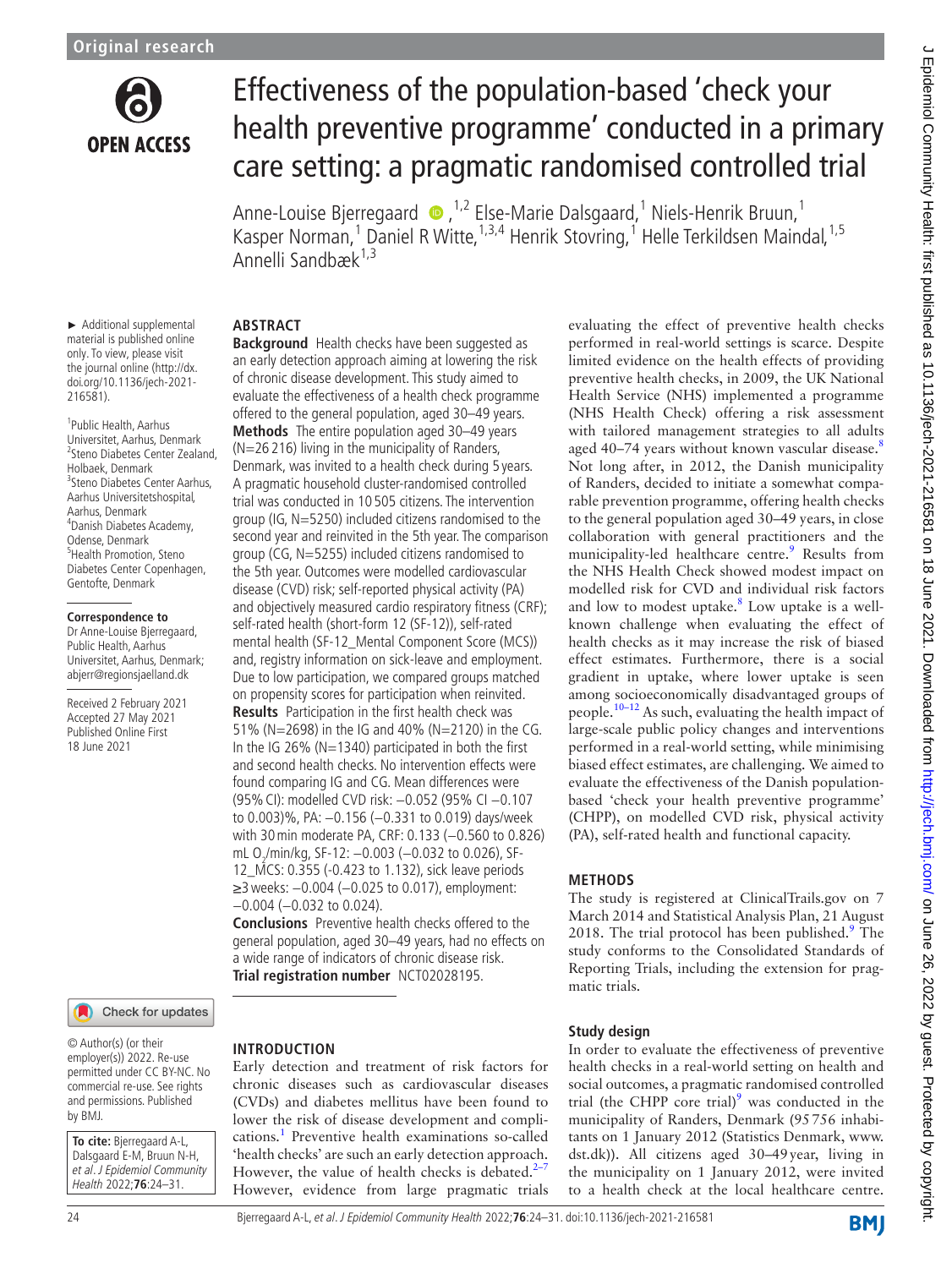

► Additional supplemental material is published online only. To view, please visit the journal online (http://dx. doi.org/10.1136/jech-2021-

1 Public Health, Aarhus Universitet, Aarhus, Denmark

Aarhus Universitetshospital, Aarhus, Denmark 4 Danish Diabetes Academy, Odense, Denmark 5 Health Promotion, Steno Diabetes Center Copenhagen, Gentofte, Denmark

Holbaek, Denmark

**Correspondence to** Dr Anne-Louise Bjerregaard, Public Health, Aarhus Universitet, Aarhus, Denmark; abjerr@regionsjaelland.dk Received 2 February 2021 Accepted 27 May 2021 Published Online First 18 June 2021

216581).

# Effectiveness of the population-based 'check your health preventive programme' conducted in a primary care setting: a pragmatic randomised controlled trial

Anne-Louise Bjerregaard  $\bullet$  , <sup>1,2</sup> Else-Marie Dalsgaard, <sup>1</sup> Niels-Henrik Bruun, <sup>1</sup> Kasper Norman,<sup>1</sup> Daniel R Witte,<sup>1,3,4</sup> Henrik Stovring,<sup>1</sup> Helle Terkildsen Maindal,<sup>1,5</sup> Annelli Sandbæk<sup>1,3</sup>

#### **ABSTRACT**

2 Steno Diabetes Center Zealand, 3 Steno Diabetes Center Aarhus, **Background** Health checks have been suggested as an early detection approach aiming at lowering the risk of chronic disease development. This study aimed to evaluate the effectiveness of a health check programme offered to the general population, aged 30–49 years. **Methods** The entire population aged 30–49 years (N=26 216) living in the municipality of Randers, Denmark, was invited to a health check during 5 years. A pragmatic household cluster-randomised controlled trial was conducted in 10 505 citizens. The intervention group (IG, N=5250) included citizens randomised to the second year and reinvited in the 5th year. The comparison group (CG, N=5255) included citizens randomised to the 5th year. Outcomes were modelled cardiovascular disease (CVD) risk; self-reported physical activity (PA) and objectively measured cardio respiratory fitness (CRF); self-rated health (short-form 12 (SF-12)), self-rated mental health (SF-12\_Mental Component Score (MCS)) and, registry information on sick-leave and employment. Due to low participation, we compared groups matched on propensity scores for participation when reinvited. **Results** Participation in the first health check was

51% (N=2698) in the IG and 40% (N=2120) in the CG. In the IG 26% ( $N=1340$ ) participated in both the first and second health checks. No intervention effects were found comparing IG and CG. Mean differences were (95%CI): modelled CVD risk: −0.052 (95% CI −0.107 to 0.003)%, PA: −0.156 (−0.331 to 0.019) days/week with 30 min moderate PA, CRF: 0.133 (-0.560 to 0.826) mL O<sub>2</sub>/min/kg, SF-12: −0.003 (−0.032 to 0.026), SF-12\_MCS: 0.355 (-0.423 to 1.132), sick leave periods ≥3weeks: −0.004 (−0.025 to 0.017), employment: −0.004 (−0.032 to 0.024).

**Conclusions** Preventive health checks offered to the general population, aged 30–49 years, had no effects on a wide range of indicators of chronic disease risk. **Trial registration number** <NCT02028195>.

Check for updates

© Author(s) (or their employer(s)) 2022. Re-use permitted under CC BY-NC. No commercial re-use. See rights and permissions. Published by BMJ.

**To cite:** Bjerregaard A-L, Dalsgaard E-M, Bruun N-H, et al. J Epidemiol Community Health 2022;**76**:24–31.

# **INTRODUCTION**

Early detection and treatment of risk factors for chronic diseases such as cardiovascular diseases (CVDs) and diabetes mellitus have been found to lower the risk of disease development and complications.<sup>1</sup> Preventive health examinations so-called 'health checks' are such an early detection approach. However, the value of health checks is debated. $2-7$ However, evidence from large pragmatic trials

evaluating the effect of preventive health checks performed in real-world settings is scarce. Despite limited evidence on the health effects of providing preventive health checks, in 2009, the UK National Health Service (NHS) implemented a programme (NHS Health Check) offering a risk assessment with tailored management strategies to all adults aged 40–74 years without known vascular disease.<sup>[8](#page-7-2)</sup> Not long after, in 2012, the Danish municipality of Randers, decided to initiate a somewhat comparable prevention programme, offering health checks to the general population aged 30–49 years, in close collaboration with general practitioners and the municipality-led healthcare centre.<sup>[9](#page-7-3)</sup> Results from the NHS Health Check showed modest impact on modelled risk for CVD and individual risk factors and low to modest uptake. $8$  Low uptake is a wellknown challenge when evaluating the effect of health checks as it may increase the risk of biased effect estimates. Furthermore, there is a social gradient in uptake, where lower uptake is seen among socioeconomically disadvantaged groups of people.<sup>10–12</sup> As such, evaluating the health impact of large-scale public policy changes and interventions performed in a real-world setting, while minimising biased effect estimates, are challenging. We aimed to evaluate the effectiveness of the Danish populationbased 'check your health preventive programme' (CHPP), on modelled CVD risk, physical activity (PA), self-rated health and functional capacity.

## **METHODS**

The study is registered at ClinicalTrails.gov on 7 March 2014 and Statistical Analysis Plan, 21 August 2018. The trial protocol has been published. $9$  The study conforms to the Consolidated Standards of Reporting Trials, including the extension for pragmatic trials.

#### **Study design**

In order to evaluate the effectiveness of preventive health checks in a real-world setting on health and social outcomes, a pragmatic randomised controlled trial (the CHPP core trial) $9$  was conducted in the municipality of Randers, Denmark (95756 inhabitants on 1 January 2012 (Statistics Denmark, [www.](www.dst.dk) [dst.dk](www.dst.dk))). All citizens aged 30–49year, living in the municipality on 1 January 2012, were invited to a health check at the local healthcare centre.

24 Bjerregaard A-L, et al. J Epidemiol Community Health 2022;**76**:24–31. doi:10.1136/jech-2021-216581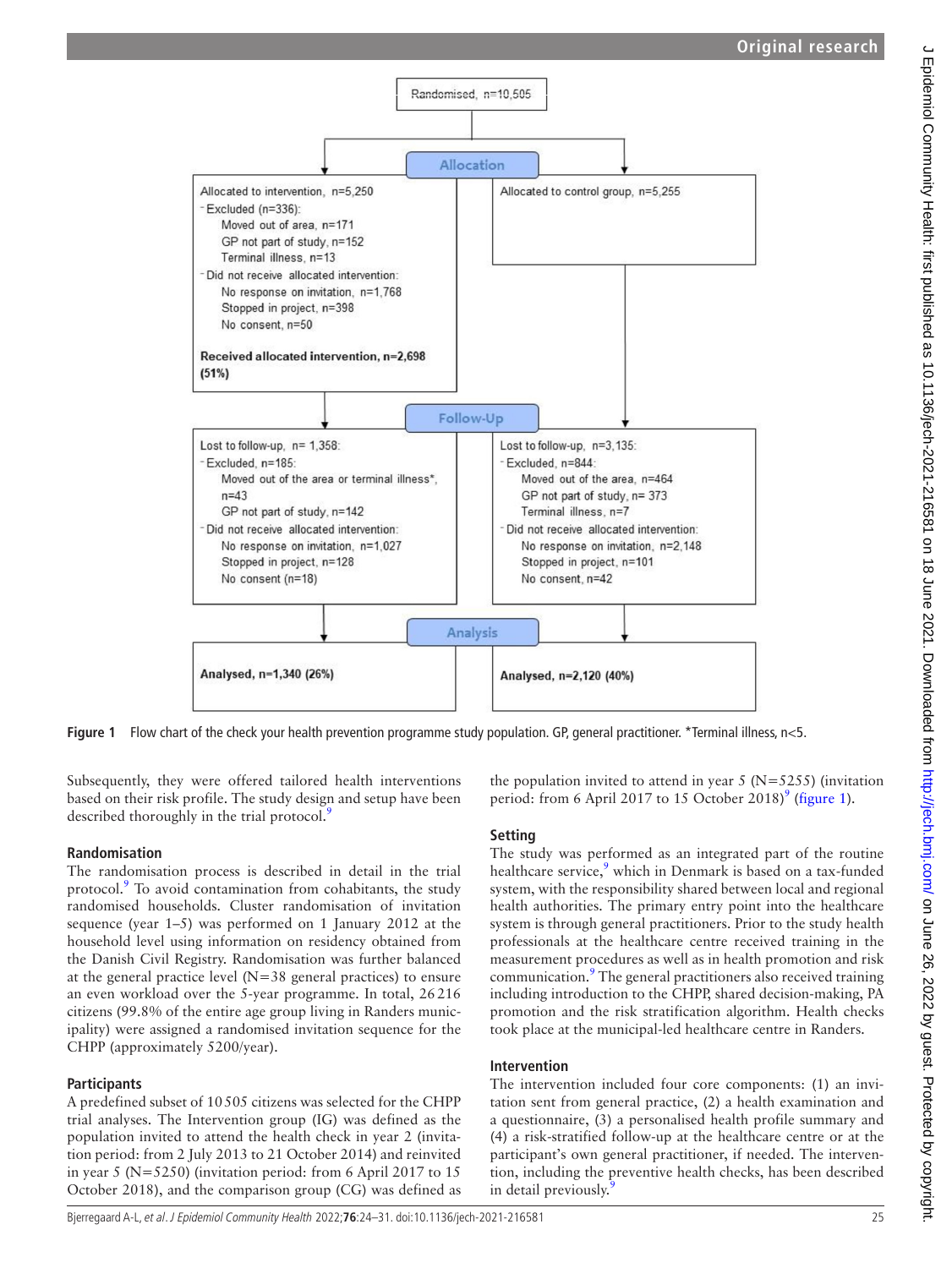

Figure 1 Flow chart of the check your health prevention programme study population. GP, general practitioner. \*Terminal illness, n<5.

Subsequently, they were offered tailored health interventions based on their risk profile. The study design and setup have been described thoroughly in the trial protocol.<sup>[9](#page-7-3)</sup>

## **Randomisation**

The randomisation process is described in detail in the trial protocol.<sup>[9](#page-7-3)</sup> To avoid contamination from cohabitants, the study randomised households. Cluster randomisation of invitation sequence (year 1–5) was performed on 1 January 2012 at the household level using information on residency obtained from the Danish Civil Registry. Randomisation was further balanced at the general practice level  $(N=38)$  general practices) to ensure an even workload over the 5-year programme. In total, 26216 citizens (99.8% of the entire age group living in Randers municipality) were assigned a randomised invitation sequence for the CHPP (approximately 5200/year).

# **Participants**

A predefined subset of 10505 citizens was selected for the CHPP trial analyses. The Intervention group (IG) was defined as the population invited to attend the health check in year 2 (invitation period: from 2 July 2013 to 21 October 2014) and reinvited in year 5 (N=5250) (invitation period: from 6 April 2017 to 15 October 2018), and the comparison group (CG) was defined as <span id="page-1-0"></span>the population invited to attend in year  $5$  (N= $5255$ ) (invitation period: from 6 April 2017 to 15 October 2018)<sup>[9](#page-7-3)</sup> ([figure](#page-1-0) 1).

# **Setting**

The study was performed as an integrated part of the routine healthcare service,<sup>[9](#page-7-3)</sup> which in Denmark is based on a tax-funded system, with the responsibility shared between local and regional health authorities. The primary entry point into the healthcare system is through general practitioners. Prior to the study health professionals at the healthcare centre received training in the measurement procedures as well as in health promotion and risk communication.<sup>9</sup> The general practitioners also received training including introduction to the CHPP, shared decision-making, PA promotion and the risk stratification algorithm. Health checks took place at the municipal-led healthcare centre in Randers.

# **Intervention**

The intervention included four core components: (1) an invitation sent from general practice, (2) a health examination and a questionnaire, (3) a personalised health profile summary and (4) a risk-stratified follow-up at the healthcare centre or at the participant's own general practitioner, if needed. The intervention, including the preventive health checks, has been described in detail previously.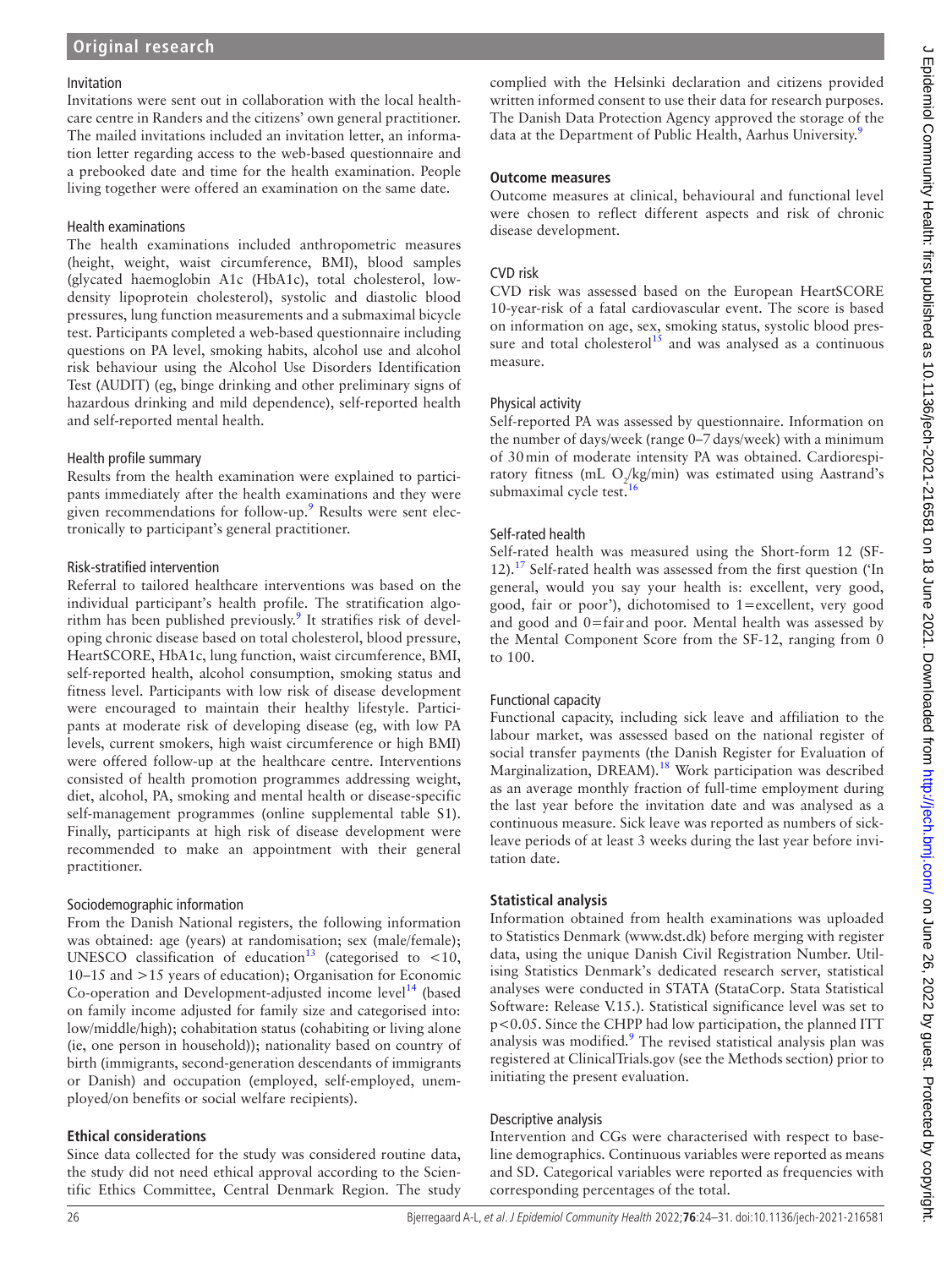#### Invitation

Invitations were sent out in collaboration with the local healthcare centre in Randers and the citizens' own general practitioner. The mailed invitations included an invitation letter, an information letter regarding access to the web-based questionnaire and a prebooked date and time for the health examination. People living together were offered an examination on the same date.

#### Health examinations

The health examinations included anthropometric measures (height, weight, waist circumference, BMI), blood samples (glycated haemoglobin A1c (HbA1c), total cholesterol, lowdensity lipoprotein cholesterol), systolic and diastolic blood pressures, lung function measurements and a submaximal bicycle test. Participants completed a web-based questionnaire including questions on PA level, smoking habits, alcohol use and alcohol risk behaviour using the Alcohol Use Disorders Identification Test (AUDIT) (eg, binge drinking and other preliminary signs of hazardous drinking and mild dependence), self-reported health and self-reported mental health.

## Health profile summary

Results from the health examination were explained to participants immediately after the health examinations and they were given recommendations for follow-up.<sup>[9](#page-7-3)</sup> Results were sent electronically to participant's general practitioner.

#### Risk-stratified intervention

Referral to tailored healthcare interventions was based on the individual participant's health profile. The stratification algorithm has been published previously.<sup>9</sup> It stratifies risk of developing chronic disease based on total cholesterol, blood pressure, HeartSCORE, HbA1c, lung function, waist circumference, BMI, self-reported health, alcohol consumption, smoking status and fitness level. Participants with low risk of disease development were encouraged to maintain their healthy lifestyle. Participants at moderate risk of developing disease (eg, with low PA levels, current smokers, high waist circumference or high BMI) were offered follow-up at the healthcare centre. Interventions consisted of health promotion programmes addressing weight, diet, alcohol, PA, smoking and mental health or disease-specific self-management programmes ([online supplemental table S1](https://dx.doi.org/10.1136/jech-2021-216581)). Finally, participants at high risk of disease development were recommended to make an appointment with their general practitioner.

## Sociodemographic information

From the Danish National registers, the following information was obtained: age (years) at randomisation; sex (male/female); UNESCO classification of education<sup>13</sup> (categorised to <10, 10–15 and >15 years of education); Organisation for Economic Co-operation and Development-adjusted income level<sup>14</sup> (based on family income adjusted for family size and categorised into: low/middle/high); cohabitation status (cohabiting or living alone (ie, one person in household)); nationality based on country of birth (immigrants, second-generation descendants of immigrants or Danish) and occupation (employed, self-employed, unemployed/on benefits or social welfare recipients).

## **Ethical considerations**

Since data collected for the study was considered routine data, the study did not need ethical approval according to the Scientific Ethics Committee, Central Denmark Region. The study

complied with the Helsinki declaration and citizens provided written informed consent to use their data for research purposes. The Danish Data Protection Agency approved the storage of the data at the Department of Public Health, Aarhus University.<sup>[9](#page-7-3)</sup>

#### **Outcome measures**

Outcome measures at clinical, behavioural and functional level were chosen to reflect different aspects and risk of chronic disease development.

## CVD risk

CVD risk was assessed based on the European HeartSCORE 10-year-risk of a fatal cardiovascular event. The score is based on information on age, sex, smoking status, systolic blood pressure and total cholesterol<sup>15</sup> and was analysed as a continuous measure.

## Physical activity

Self-reported PA was assessed by questionnaire. Information on the number of days/week (range 0–7days/week) with a minimum of 30min of moderate intensity PA was obtained. Cardiorespiratory fitness (mL O<sub>2</sub>/kg/min) was estimated using Aastrand's submaximal cycle test.<sup>1</sup>

## Self-rated health

Self-rated health was measured using the Short-form 12 (SF-12).<sup>17</sup> Self-rated health was assessed from the first question ( $In$ general, would you say your health is: excellent, very good, good, fair or poor'), dichotomised to 1=excellent, very good and good and 0=fair and poor. Mental health was assessed by the Mental Component Score from the SF-12, ranging from 0 to 100.

## Functional capacity

Functional capacity, including sick leave and affiliation to the labour market, was assessed based on the national register of social transfer payments (the Danish Register for Evaluation of Marginalization, DREAM).<sup>[18](#page-7-10)</sup> Work participation was described as an average monthly fraction of full-time employment during the last year before the invitation date and was analysed as a continuous measure. Sick leave was reported as numbers of sickleave periods of at least 3 weeks during the last year before invitation date.

## **Statistical analysis**

Information obtained from health examinations was uploaded to Statistics Denmark (<www.dst.dk>) before merging with register data, using the unique Danish Civil Registration Number. Utilising Statistics Denmark's dedicated research server, statistical analyses were conducted in STATA (StataCorp. Stata Statistical Software: Release V.15.). Statistical significance level was set to p<0.05. Since the CHPP had low participation, the planned ITT analysis was modified.<sup>[9](#page-7-3)</sup> The revised statistical analysis plan was registered at ClinicalTrials.gov (see the Methods section) prior to initiating the present evaluation.

## Descriptive analysis

Intervention and CGs were characterised with respect to baseline demographics. Continuous variables were reported as means and SD. Categorical variables were reported as frequencies with corresponding percentages of the total.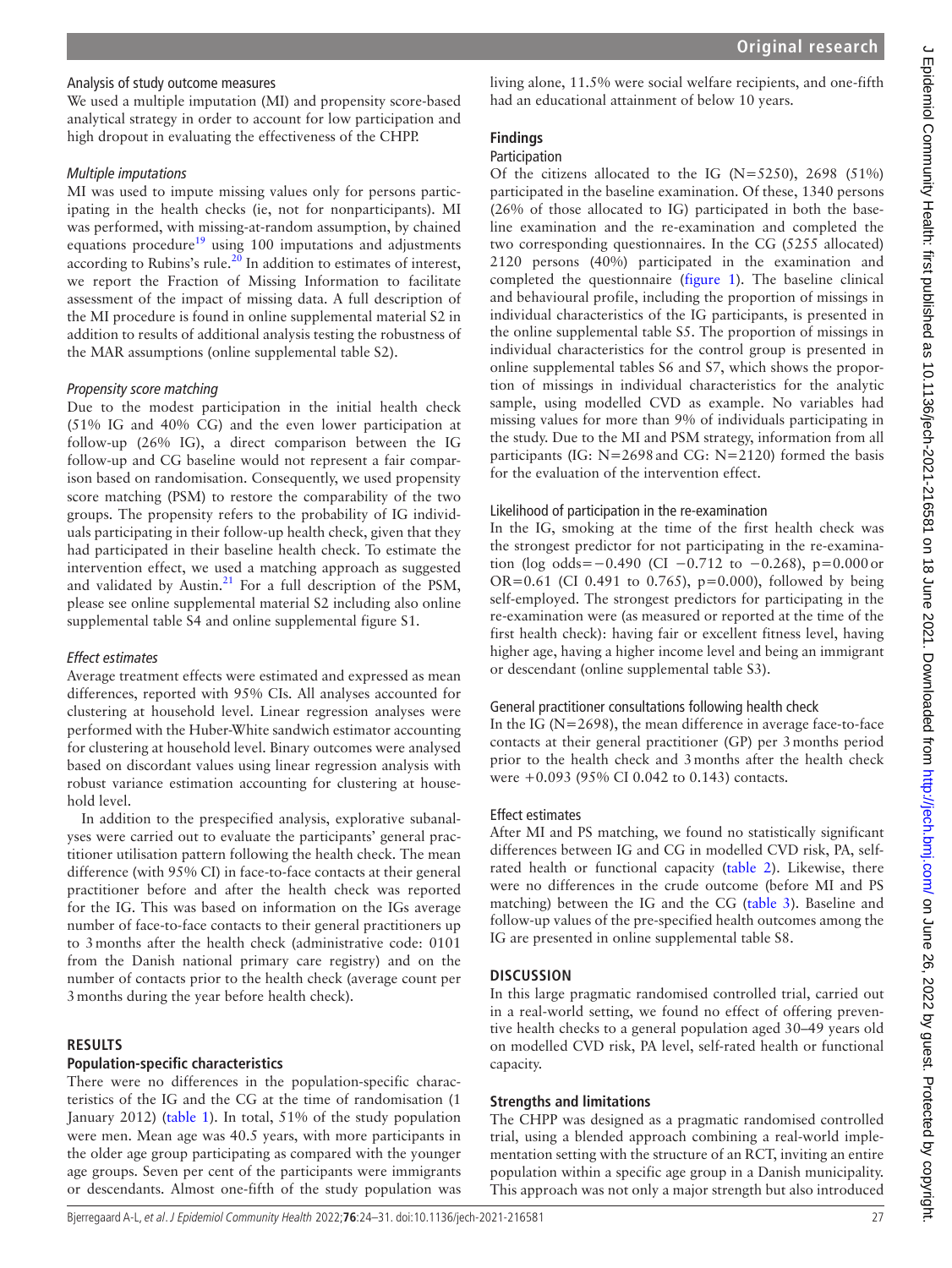# Analysis of study outcome measures

We used a multiple imputation (MI) and propensity score-based analytical strategy in order to account for low participation and high dropout in evaluating the effectiveness of the CHPP.

## *Multiple imputations*

MI was used to impute missing values only for persons participating in the health checks (ie, not for nonparticipants). MI was performed, with missing-at-random assumption, by chained equations procedure<sup>19</sup> using 100 imputations and adjustments according to Rubins's rule.<sup>[20](#page-7-12)</sup> In addition to estimates of interest, we report the Fraction of Missing Information to facilitate assessment of the impact of missing data. A full description of the MI procedure is found in [online supplemental material S2](https://dx.doi.org/10.1136/jech-2021-216581) in addition to results of additional analysis testing the robustness of the MAR assumptions ([online supplemental table S2\)](https://dx.doi.org/10.1136/jech-2021-216581).

## *Propensity score matching*

Due to the modest participation in the initial health check (51% IG and 40% CG) and the even lower participation at follow-up (26% IG), a direct comparison between the IG follow-up and CG baseline would not represent a fair comparison based on randomisation. Consequently, we used propensity score matching (PSM) to restore the comparability of the two groups. The propensity refers to the probability of IG individuals participating in their follow-up health check, given that they had participated in their baseline health check. To estimate the intervention effect, we used a matching approach as suggested and validated by Austin. $21$  For a full description of the PSM, please see [online supplemental material S2](https://dx.doi.org/10.1136/jech-2021-216581) including also [online](https://dx.doi.org/10.1136/jech-2021-216581)  [supplemental table S4](https://dx.doi.org/10.1136/jech-2021-216581) and [online supplemental figure S1](https://dx.doi.org/10.1136/jech-2021-216581).

## *Effect estimates*

Average treatment effects were estimated and expressed as mean differences, reported with 95% CIs. All analyses accounted for clustering at household level. Linear regression analyses were performed with the Huber-White sandwich estimator accounting for clustering at household level. Binary outcomes were analysed based on discordant values using linear regression analysis with robust variance estimation accounting for clustering at household level.

In addition to the prespecified analysis, explorative subanalyses were carried out to evaluate the participants' general practitioner utilisation pattern following the health check. The mean difference (with 95% CI) in face-to-face contacts at their general practitioner before and after the health check was reported for the IG. This was based on information on the IGs average number of face-to-face contacts to their general practitioners up to 3months after the health check (administrative code: 0101 from the Danish national primary care registry) and on the number of contacts prior to the health check (average count per 3months during the year before health check).

# **RESULTS**

## **Population-specific characteristics**

There were no differences in the population-specific characteristics of the IG and the CG at the time of randomisation (1 January 2012) [\(table](#page-4-0) 1). In total, 51% of the study population were men. Mean age was 40.5 years, with more participants in the older age group participating as compared with the younger age groups. Seven per cent of the participants were immigrants or descendants. Almost one-fifth of the study population was living alone, 11.5% were social welfare recipients, and one-fifth had an educational attainment of below 10 years.

# **Findings**

## Participation

Of the citizens allocated to the IG  $(N=5250)$ , 2698 (51%) participated in the baseline examination. Of these, 1340 persons (26% of those allocated to IG) participated in both the baseline examination and the re-examination and completed the two corresponding questionnaires. In the CG (5255 allocated) 2120 persons (40%) participated in the examination and completed the questionnaire [\(figure](#page-1-0) 1). The baseline clinical and behavioural profile, including the proportion of missings in individual characteristics of the IG participants, is presented in the [online supplemental table S5.](https://dx.doi.org/10.1136/jech-2021-216581) The proportion of missings in individual characteristics for the control group is presented in [online supplemental tables S6 and S7](https://dx.doi.org/10.1136/jech-2021-216581), which shows the proportion of missings in individual characteristics for the analytic sample, using modelled CVD as example. No variables had missing values for more than 9% of individuals participating in the study. Due to the MI and PSM strategy, information from all participants (IG:  $N=2698$  and CG:  $N=2120$ ) formed the basis for the evaluation of the intervention effect.

## Likelihood of participation in the re-examination

In the IG, smoking at the time of the first health check was the strongest predictor for not participating in the re-examination (log odds= $-0.490$  (CI  $-0.712$  to  $-0.268$ ), p=0.000 or OR=0.61 (CI 0.491 to 0.765),  $p=0.000$ ), followed by being self-employed. The strongest predictors for participating in the re-examination were (as measured or reported at the time of the first health check): having fair or excellent fitness level, having higher age, having a higher income level and being an immigrant or descendant [\(online supplemental table S3](https://dx.doi.org/10.1136/jech-2021-216581)).

# General practitioner consultations following health check

In the IG ( $N=2698$ ), the mean difference in average face-to-face contacts at their general practitioner (GP) per 3months period prior to the health check and 3months after the health check were +0.093 (95% CI 0.042 to 0.143) contacts.

## Effect estimates

After MI and PS matching, we found no statistically significant differences between IG and CG in modelled CVD risk, PA, selfrated health or functional capacity ([table](#page-5-0) 2). Likewise, there were no differences in the crude outcome (before MI and PS matching) between the IG and the CG ([table](#page-5-1) 3). Baseline and follow-up values of the pre-specified health outcomes among the IG are presented in [online supplemental table S8](https://dx.doi.org/10.1136/jech-2021-216581).

# **DISCUSSION**

In this large pragmatic randomised controlled trial, carried out in a real-world setting, we found no effect of offering preventive health checks to a general population aged 30–49 years old on modelled CVD risk, PA level, self-rated health or functional capacity.

# **Strengths and limitations**

The CHPP was designed as a pragmatic randomised controlled trial, using a blended approach combining a real-world implementation setting with the structure of an RCT, inviting an entire population within a specific age group in a Danish municipality. This approach was not only a major strength but also introduced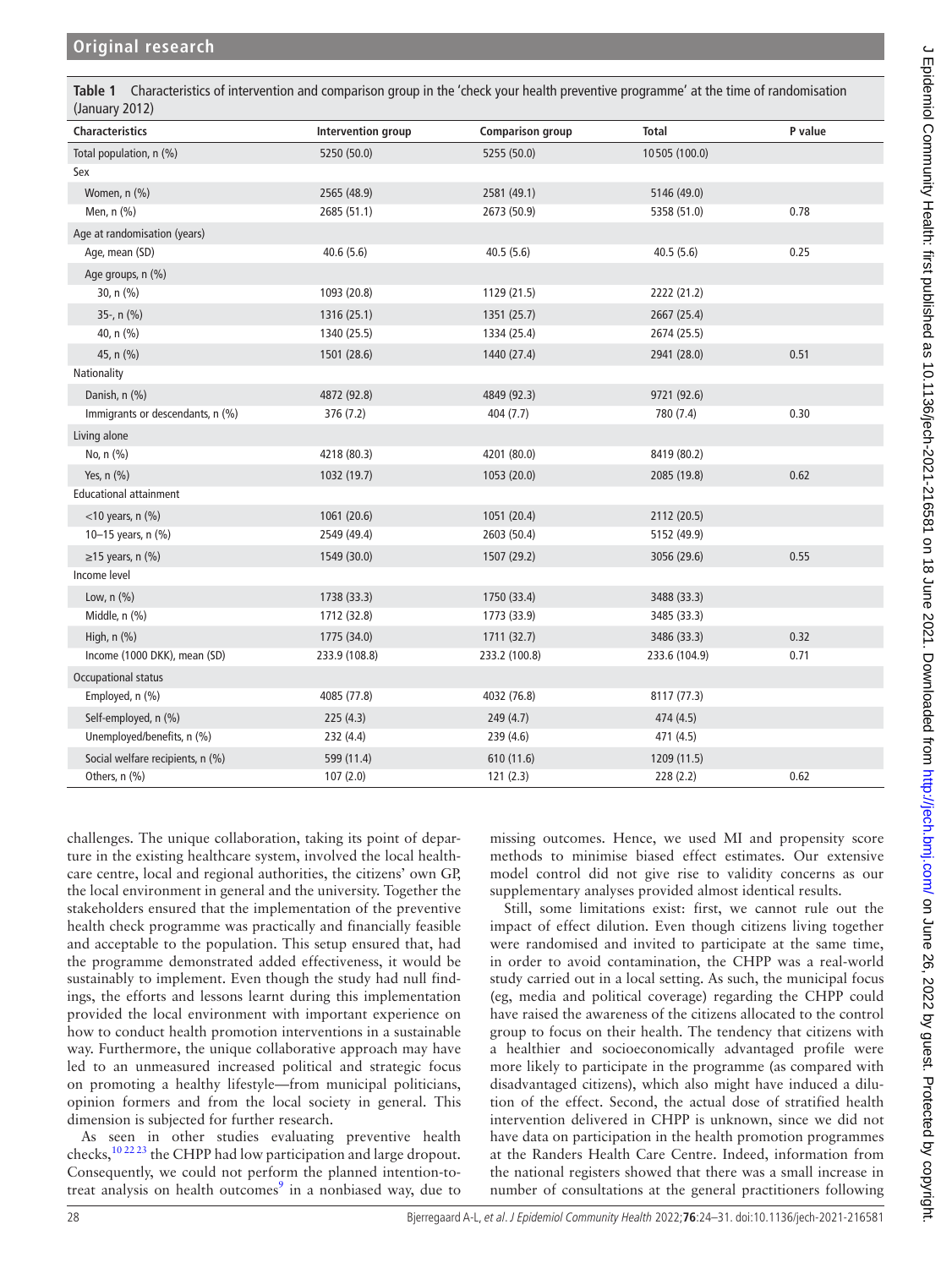| (January 2012)                   |                           |                         |               |         |  |  |  |  |
|----------------------------------|---------------------------|-------------------------|---------------|---------|--|--|--|--|
| <b>Characteristics</b>           | <b>Intervention group</b> | <b>Comparison group</b> | <b>Total</b>  | P value |  |  |  |  |
| Total population, n (%)          | 5250 (50.0)               | 5255 (50.0)             | 10505 (100.0) |         |  |  |  |  |
| Sex                              |                           |                         |               |         |  |  |  |  |
| Women, n (%)                     | 2565 (48.9)               | 2581 (49.1)             | 5146 (49.0)   |         |  |  |  |  |
| Men, n (%)                       | 2685 (51.1)               | 2673 (50.9)             | 5358 (51.0)   | 0.78    |  |  |  |  |
| Age at randomisation (years)     |                           |                         |               |         |  |  |  |  |
| Age, mean (SD)                   | 40.6(5.6)                 | 40.5(5.6)               | 40.5(5.6)     | 0.25    |  |  |  |  |
| Age groups, n (%)                |                           |                         |               |         |  |  |  |  |
| 30, n (%)                        | 1093 (20.8)               | 1129 (21.5)             | 2222 (21.2)   |         |  |  |  |  |
| 35-, n (%)                       | 1316 (25.1)               | 1351 (25.7)             | 2667 (25.4)   |         |  |  |  |  |
| 40, n (%)                        | 1340 (25.5)               | 1334 (25.4)             | 2674 (25.5)   |         |  |  |  |  |
| 45, n (%)                        | 1501 (28.6)               | 1440 (27.4)             | 2941 (28.0)   | 0.51    |  |  |  |  |
| Nationality                      |                           |                         |               |         |  |  |  |  |
| Danish, n (%)                    | 4872 (92.8)               | 4849 (92.3)             | 9721 (92.6)   |         |  |  |  |  |
| Immigrants or descendants, n (%) | 376 (7.2)                 | 404 (7.7)               | 780 (7.4)     | 0.30    |  |  |  |  |
| Living alone                     |                           |                         |               |         |  |  |  |  |
| No, n (%)                        | 4218 (80.3)               | 4201 (80.0)             | 8419 (80.2)   |         |  |  |  |  |
| Yes, n (%)                       | 1032 (19.7)               | 1053 (20.0)             | 2085 (19.8)   | 0.62    |  |  |  |  |
| <b>Educational attainment</b>    |                           |                         |               |         |  |  |  |  |
| $<$ 10 years, n $(\% )$          | 1061 (20.6)               | 1051 (20.4)             | 2112 (20.5)   |         |  |  |  |  |
| 10-15 years, n (%)               | 2549 (49.4)               | 2603 (50.4)             | 5152 (49.9)   |         |  |  |  |  |
| $\geq$ 15 years, n (%)           | 1549 (30.0)               | 1507 (29.2)             | 3056 (29.6)   | 0.55    |  |  |  |  |
| Income level                     |                           |                         |               |         |  |  |  |  |
| Low, $n$ $(\%)$                  | 1738 (33.3)               | 1750 (33.4)             | 3488 (33.3)   |         |  |  |  |  |
| Middle, n (%)                    | 1712 (32.8)               | 1773 (33.9)             | 3485 (33.3)   |         |  |  |  |  |
| High, $n$ $%$                    | 1775 (34.0)               | 1711 (32.7)             | 3486 (33.3)   | 0.32    |  |  |  |  |
| Income (1000 DKK), mean (SD)     | 233.9 (108.8)             | 233.2 (100.8)           | 233.6 (104.9) | 0.71    |  |  |  |  |
| Occupational status              |                           |                         |               |         |  |  |  |  |
| Employed, n (%)                  | 4085 (77.8)               | 4032 (76.8)             | 8117 (77.3)   |         |  |  |  |  |
| Self-employed, n (%)             | 225(4.3)                  | 249(4.7)                | 474 (4.5)     |         |  |  |  |  |
| Unemployed/benefits, n (%)       | 232 (4.4)                 | 239 (4.6)               | 471 (4.5)     |         |  |  |  |  |
| Social welfare recipients, n (%) | 599 (11.4)                | 610 (11.6)              | 1209 (11.5)   |         |  |  |  |  |
| Others, n (%)                    | 107(2.0)                  | 121(2.3)                | 228(2.2)      | 0.62    |  |  |  |  |

<span id="page-4-0"></span>**Table 1** Characteristics of intervention and comparison group in the 'check your health preventive programme' at the time of randomisation

challenges. The unique collaboration, taking its point of departure in the existing healthcare system, involved the local healthcare centre, local and regional authorities, the citizens' own GP, the local environment in general and the university. Together the stakeholders ensured that the implementation of the preventive health check programme was practically and financially feasible and acceptable to the population. This setup ensured that, had the programme demonstrated added effectiveness, it would be sustainably to implement. Even though the study had null findings, the efforts and lessons learnt during this implementation provided the local environment with important experience on how to conduct health promotion interventions in a sustainable way. Furthermore, the unique collaborative approach may have led to an unmeasured increased political and strategic focus on promoting a healthy lifestyle—from municipal politicians, opinion formers and from the local society in general. This dimension is subjected for further research.

As seen in other studies evaluating preventive health checks,[10 22 23](#page-7-4) the CHPP had low participation and large dropout. Consequently, we could not perform the planned intention-totreat analysis on health outcomes $9$  in a nonbiased way, due to missing outcomes. Hence, we used MI and propensity score methods to minimise biased effect estimates. Our extensive model control did not give rise to validity concerns as our supplementary analyses provided almost identical results.

Still, some limitations exist: first, we cannot rule out the impact of effect dilution. Even though citizens living together were randomised and invited to participate at the same time, in order to avoid contamination, the CHPP was a real-world study carried out in a local setting. As such, the municipal focus (eg, media and political coverage) regarding the CHPP could have raised the awareness of the citizens allocated to the control group to focus on their health. The tendency that citizens with a healthier and socioeconomically advantaged profile were more likely to participate in the programme (as compared with disadvantaged citizens), which also might have induced a dilution of the effect. Second, the actual dose of stratified health intervention delivered in CHPP is unknown, since we did not have data on participation in the health promotion programmes at the Randers Health Care Centre. Indeed, information from the national registers showed that there was a small increase in number of consultations at the general practitioners following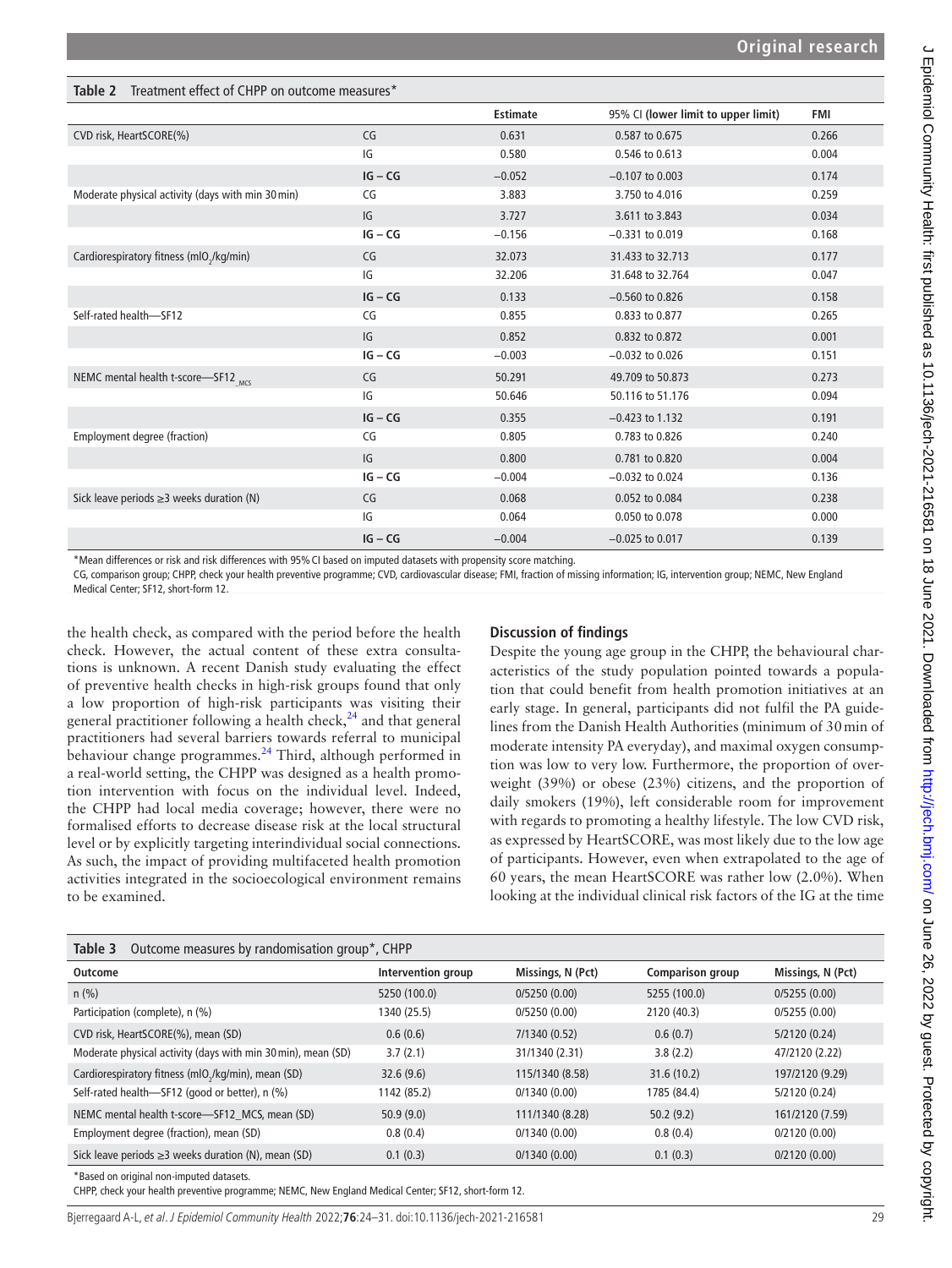<span id="page-5-0"></span>

| <b>Table 2</b> Treatment effect of CHPP on outcome measures* |           |                 |                                     |            |  |  |  |
|--------------------------------------------------------------|-----------|-----------------|-------------------------------------|------------|--|--|--|
|                                                              |           | <b>Estimate</b> | 95% CI (lower limit to upper limit) | <b>FMI</b> |  |  |  |
| CVD risk, HeartSCORE(%)                                      | CG        | 0.631           | 0.587 to 0.675                      | 0.266      |  |  |  |
|                                                              | IG        | 0.580           | 0.546 to 0.613                      | 0.004      |  |  |  |
|                                                              | $IG - CG$ | $-0.052$        | $-0.107$ to 0.003                   | 0.174      |  |  |  |
| Moderate physical activity (days with min 30 min)            | CG        | 3.883           | 3.750 to 4.016                      | 0.259      |  |  |  |
|                                                              | IG        | 3.727           | 3.611 to 3.843                      | 0.034      |  |  |  |
|                                                              | $IG - CG$ | $-0.156$        | $-0.331$ to $0.019$                 | 0.168      |  |  |  |
| Cardiorespiratory fitness (mlO <sub>2</sub> /kg/min)         | CG        | 32.073          | 31,433 to 32,713                    | 0.177      |  |  |  |
|                                                              | IG        | 32.206          | 31.648 to 32.764                    | 0.047      |  |  |  |
|                                                              | $IG - CG$ | 0.133           | $-0.560$ to 0.826                   | 0.158      |  |  |  |
| Self-rated health-SF12                                       | CG        | 0.855           | 0.833 to 0.877                      | 0.265      |  |  |  |
|                                                              | IG        | 0.852           | 0.832 to 0.872                      | 0.001      |  |  |  |
|                                                              | $IG - CG$ | $-0.003$        | $-0.032$ to $0.026$                 | 0.151      |  |  |  |
| NEMC mental health t-score-SF12 MCS                          | CG        | 50.291          | 49.709 to 50.873                    | 0.273      |  |  |  |
|                                                              | IG        | 50.646          | 50.116 to 51.176                    | 0.094      |  |  |  |
|                                                              | $IG - CG$ | 0.355           | $-0.423$ to 1.132                   | 0.191      |  |  |  |
| Employment degree (fraction)                                 | CG        | 0.805           | 0.783 to 0.826                      | 0.240      |  |  |  |
|                                                              | IG        | 0.800           | 0.781 to 0.820                      | 0.004      |  |  |  |
|                                                              | $IG - CG$ | $-0.004$        | $-0.032$ to $0.024$                 | 0.136      |  |  |  |
| Sick leave periods $\geq$ 3 weeks duration (N)               | CG        | 0.068           | 0.052 to 0.084                      | 0.238      |  |  |  |
|                                                              | IG        | 0.064           | 0.050 to 0.078                      | 0.000      |  |  |  |
|                                                              | $IG - CG$ | $-0.004$        | $-0.025$ to $0.017$                 | 0.139      |  |  |  |

\*Mean differences or risk and risk differences with 95%CI based on imputed datasets with propensity score matching.

CG, comparison group; CHPP, check your health preventive programme; CVD, cardiovascular disease; FMI, fraction of missing information; IG, intervention group; NEMC, New England Medical Center; SF12, short-form 12.

the health check, as compared with the period before the health check. However, the actual content of these extra consultations is unknown. A recent Danish study evaluating the effect of preventive health checks in high-risk groups found that only a low proportion of high-risk participants was visiting their general practitioner following a health check, $^{24}$  and that general practitioners had several barriers towards referral to municipal behaviour change programmes.<sup>[24](#page-7-14)</sup> Third, although performed in a real-world setting, the CHPP was designed as a health promotion intervention with focus on the individual level. Indeed, the CHPP had local media coverage; however, there were no formalised efforts to decrease disease risk at the local structural level or by explicitly targeting interindividual social connections. As such, the impact of providing multifaceted health promotion activities integrated in the socioecological environment remains to be examined.

#### **Discussion of findings**

Despite the young age group in the CHPP, the behavioural characteristics of the study population pointed towards a population that could benefit from health promotion initiatives at an early stage. In general, participants did not fulfil the PA guidelines from the Danish Health Authorities (minimum of 30min of moderate intensity PA everyday), and maximal oxygen consumption was low to very low. Furthermore, the proportion of overweight (39%) or obese (23%) citizens, and the proportion of daily smokers (19%), left considerable room for improvement with regards to promoting a healthy lifestyle. The low CVD risk, as expressed by HeartSCORE, was most likely due to the low age of participants. However, even when extrapolated to the age of 60 years, the mean HeartSCORE was rather low (2.0%). When looking at the individual clinical risk factors of the IG at the time

<span id="page-5-1"></span>

| Table 3<br>Outcome measures by randomisation group*, CHPP       |                    |                   |                         |                   |  |  |  |  |
|-----------------------------------------------------------------|--------------------|-------------------|-------------------------|-------------------|--|--|--|--|
| Outcome                                                         | Intervention group | Missings, N (Pct) | <b>Comparison group</b> | Missings, N (Pct) |  |  |  |  |
| $n$ (%)                                                         | 5250 (100.0)       | 0/5250(0.00)      | 5255 (100.0)            | 0/5255(0.00)      |  |  |  |  |
| Participation (complete), n (%)                                 | 1340 (25.5)        | 0/5250(0.00)      | 2120 (40.3)             | 0/5255(0.00)      |  |  |  |  |
| CVD risk, HeartSCORE(%), mean (SD)                              | 0.6(0.6)           | 7/1340 (0.52)     | 0.6(0.7)                | 5/2120 (0.24)     |  |  |  |  |
| Moderate physical activity (days with min 30 min), mean (SD)    | 3.7(2.1)           | 31/1340 (2.31)    | 3.8(2.2)                | 47/2120 (2.22)    |  |  |  |  |
| Cardiorespiratory fitness (mlO <sub>2</sub> /kg/min), mean (SD) | 32.6(9.6)          | 115/1340 (8.58)   | 31.6(10.2)              | 197/2120 (9.29)   |  |  |  |  |
| Self-rated health-SF12 (good or better), n (%)                  | 1142 (85.2)        | 0/1340(0.00)      | 1785 (84.4)             | 5/2120 (0.24)     |  |  |  |  |
| NEMC mental health t-score-SF12_MCS, mean (SD)                  | 50.9(9.0)          | 111/1340 (8.28)   | 50.2(9.2)               | 161/2120 (7.59)   |  |  |  |  |
| Employment degree (fraction), mean (SD)                         | 0.8(0.4)           | 0/1340(0.00)      | 0.8(0.4)                | 0/2120(0.00)      |  |  |  |  |
| Sick leave periods $\geq$ 3 weeks duration (N), mean (SD)       | 0.1(0.3)           | 0/1340(0.00)      | 0.1(0.3)                | 0/2120(0.00)      |  |  |  |  |
| *Based on original non-imputed datasets.                        |                    |                   |                         |                   |  |  |  |  |

CHPP, check your health preventive programme; NEMC, New England Medical Center; SF12, short-form 12.

Bjerregaard A-L, et al. J Epidemiol Community Health 2022;**76**:24–31. doi:10.1136/jech-2021-216581 29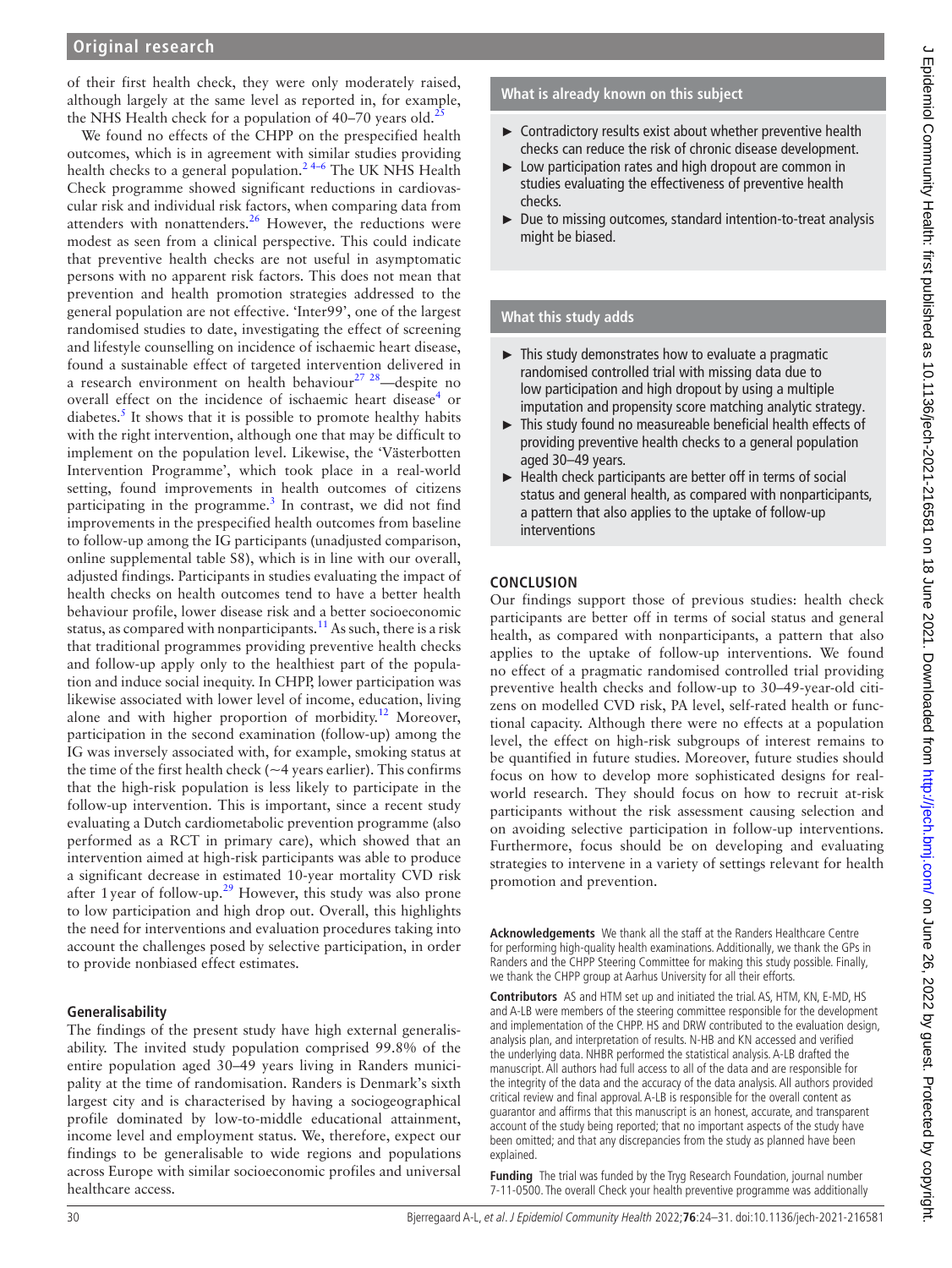# **Original research**

of their first health check, they were only moderately raised, although largely at the same level as reported in, for example, the NHS Health check for a population of  $40-70$  years old.<sup>2</sup>

We found no effects of the CHPP on the prespecified health outcomes, which is in agreement with similar studies providing health checks to a general population.<sup>24-6</sup> The UK NHS Health Check programme showed significant reductions in cardiovascular risk and individual risk factors, when comparing data from attenders with nonattenders. $26$  However, the reductions were modest as seen from a clinical perspective. This could indicate that preventive health checks are not useful in asymptomatic persons with no apparent risk factors. This does not mean that prevention and health promotion strategies addressed to the general population are not effective. 'Inter99', one of the largest randomised studies to date, investigating the effect of screening and lifestyle counselling on incidence of ischaemic heart disease, found a sustainable effect of targeted intervention delivered in a research environment on health behaviour<sup>27</sup>  $28$ —despite no overall effect on the incidence of ischaemic heart disease<sup>[4](#page-7-18)</sup> or diabetes. $<sup>5</sup>$  $<sup>5</sup>$  $<sup>5</sup>$  It shows that it is possible to promote healthy habits</sup> with the right intervention, although one that may be difficult to implement on the population level. Likewise, the 'Västerbotten Intervention Programme', which took place in a real-world setting, found improvements in health outcomes of citizens participating in the programme.<sup>[3](#page-7-20)</sup> In contrast, we did not find improvements in the prespecified health outcomes from baseline to follow-up among the IG participants (unadjusted comparison, [online supplemental table S8\)](https://dx.doi.org/10.1136/jech-2021-216581), which is in line with our overall, adjusted findings. Participants in studies evaluating the impact of health checks on health outcomes tend to have a better health behaviour profile, lower disease risk and a better socioeconomic status, as compared with nonparticipants.<sup>[11](#page-7-21)</sup> As such, there is a risk that traditional programmes providing preventive health checks and follow-up apply only to the healthiest part of the population and induce social inequity. In CHPP, lower participation was likewise associated with lower level of income, education, living alone and with higher proportion of morbidity.[12](#page-7-22) Moreover, participation in the second examination (follow-up) among the IG was inversely associated with, for example, smoking status at the time of the first health check ( $\sim$ 4 years earlier). This confirms that the high-risk population is less likely to participate in the follow-up intervention. This is important, since a recent study evaluating a Dutch cardiometabolic prevention programme (also performed as a RCT in primary care), which showed that an intervention aimed at high-risk participants was able to produce a significant decrease in estimated 10-year mortality CVD risk after 1 year of follow-up.<sup>[29](#page-7-23)</sup> However, this study was also prone to low participation and high drop out. Overall, this highlights the need for interventions and evaluation procedures taking into account the challenges posed by selective participation, in order to provide nonbiased effect estimates.

#### **Generalisability**

The findings of the present study have high external generalisability. The invited study population comprised 99.8% of the entire population aged 30–49 years living in Randers municipality at the time of randomisation. Randers is Denmark's sixth largest city and is characterised by having a sociogeographical profile dominated by low-to-middle educational attainment, income level and employment status. We, therefore, expect our findings to be generalisable to wide regions and populations across Europe with similar socioeconomic profiles and universal healthcare access.

#### **What is already known on this subject**

- ► Contradictory results exist about whether preventive health checks can reduce the risk of chronic disease development.
- ► Low participation rates and high dropout are common in studies evaluating the effectiveness of preventive health checks.
- ► Due to missing outcomes, standard intention-to-treat analysis might be biased.

#### **What this study adds**

- ► This study demonstrates how to evaluate a pragmatic randomised controlled trial with missing data due to low participation and high dropout by using a multiple imputation and propensity score matching analytic strategy.
- ► This study found no measureable beneficial health effects of providing preventive health checks to a general population aged 30–49 years.
- ► Health check participants are better off in terms of social status and general health, as compared with nonparticipants, a pattern that also applies to the uptake of follow-up interventions

#### **CONCLUSION**

Our findings support those of previous studies: health check participants are better off in terms of social status and general health, as compared with nonparticipants, a pattern that also applies to the uptake of follow-up interventions. We found no effect of a pragmatic randomised controlled trial providing preventive health checks and follow-up to 30–49-year-old citizens on modelled CVD risk, PA level, self-rated health or functional capacity. Although there were no effects at a population level, the effect on high-risk subgroups of interest remains to be quantified in future studies. Moreover, future studies should focus on how to develop more sophisticated designs for realworld research. They should focus on how to recruit at-risk participants without the risk assessment causing selection and on avoiding selective participation in follow-up interventions. Furthermore, focus should be on developing and evaluating strategies to intervene in a variety of settings relevant for health promotion and prevention.

**Acknowledgements** We thank all the staff at the Randers Healthcare Centre for performing high-quality health examinations. Additionally, we thank the GPs in Randers and the CHPP Steering Committee for making this study possible. Finally, we thank the CHPP group at Aarhus University for all their efforts.

**Contributors** AS and HTM set up and initiated the trial. AS, HTM, KN, E-MD, HS and A-LB were members of the steering committee responsible for the development and implementation of the CHPP. HS and DRW contributed to the evaluation design, analysis plan, and interpretation of results. N-HB and KN accessed and verified the underlying data. NHBR performed the statistical analysis. A-LB drafted the manuscript. All authors had full access to all of the data and are responsible for the integrity of the data and the accuracy of the data analysis. All authors provided critical review and final approval. A-LB is responsible for the overall content as guarantor and affirms that this manuscript is an honest, accurate, and transparent account of the study being reported; that no important aspects of the study have been omitted; and that any discrepancies from the study as planned have been explained.

**Funding** The trial was funded by the Tryg Research Foundation, journal number 7-11-0500. The overall Check your health preventive programme was additionally